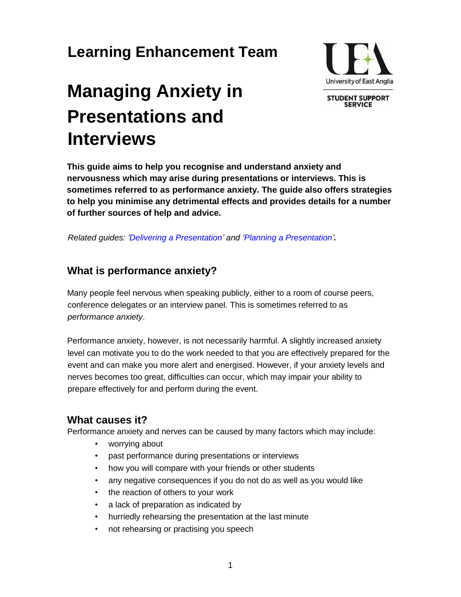## **Learning Enhancement Team**

# **Managing Anxiety in Presentations and Interviews**



**SERVICE** 

**This guide aims to help you recognise and understand anxiety and nervousness which may arise during presentations or interviews. This is sometimes referred to as performance anxiety. The guide also offers strategies to help you minimise any detrimental effects and provides details for a number of further sources of help and advice.** 

*Related guides: ['Delivering a Presentation' a](https://portal.uea.ac.uk/documents/6207125/7632456/Delivering+a+Presentation.pdf/a52b42a9-bf99-431e-afff-507d2988b3c9)nd ['Planning a Presentation'](https://portal.uea.ac.uk/documents/6207125/7632456/Planning+a+Presentation.pdf/5deb68b4-08cc-4fdf-a5fa-684f76170297)[.](https://portal.uea.ac.uk/documents/6207125/7632456/Planning+a+Presentation.pdf/5deb68b4-08cc-4fdf-a5fa-684f76170297)*

## **What is performance anxiety?**

Many people feel nervous when speaking publicly, either to a room of course peers, conference delegates or an interview panel. This is sometimes referred to as *performance anxiety*.

Performance anxiety, however, is not necessarily harmful. A slightly increased anxiety level can motivate you to do the work needed to that you are effectively prepared for the event and can make you more alert and energised. However, if your anxiety levels and nerves becomes too great, difficulties can occur, which may impair your ability to prepare effectively for and perform during the event.

## **What causes it?**

Performance anxiety and nerves can be caused by many factors which may include:

- worrying about
- past performance during presentations or interviews
- how you will compare with your friends or other students
- any negative consequences if you do not do as well as you would like
- the reaction of others to your work
- a lack of preparation as indicated by
- hurriedly rehearsing the presentation at the last minute
- not rehearsing or practising you speech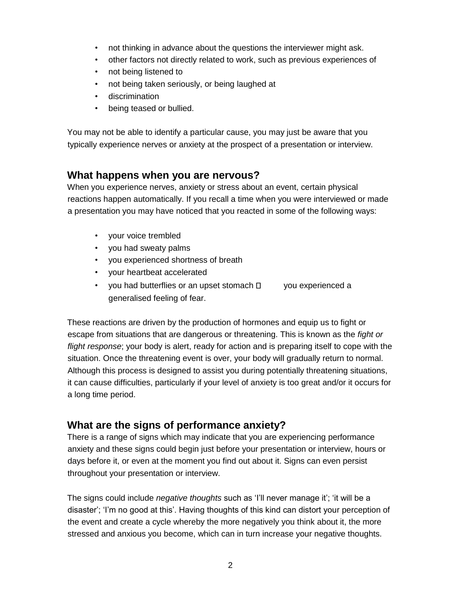- not thinking in advance about the questions the interviewer might ask.
- other factors not directly related to work, such as previous experiences of
- not being listened to
- not being taken seriously, or being laughed at
- discrimination
- being teased or bullied.

You may not be able to identify a particular cause, you may just be aware that you typically experience nerves or anxiety at the prospect of a presentation or interview.

### **What happens when you are nervous?**

When you experience nerves, anxiety or stress about an event, certain physical reactions happen automatically. If you recall a time when you were interviewed or made a presentation you may have noticed that you reacted in some of the following ways:

- your voice trembled
- you had sweaty palms
- you experienced shortness of breath
- your heartbeat accelerated
- you had butterflies or an upset stomach  $\Box$  you experienced a generalised feeling of fear.

These reactions are driven by the production of hormones and equip us to fight or escape from situations that are dangerous or threatening. This is known as the *fight or flight response*; your body is alert, ready for action and is preparing itself to cope with the situation. Once the threatening event is over, your body will gradually return to normal. Although this process is designed to assist you during potentially threatening situations, it can cause difficulties, particularly if your level of anxiety is too great and/or it occurs for a long time period.

## **What are the signs of performance anxiety?**

There is a range of signs which may indicate that you are experiencing performance anxiety and these signs could begin just before your presentation or interview, hours or days before it, or even at the moment you find out about it. Signs can even persist throughout your presentation or interview.

The signs could include *negative thoughts* such as 'I'll never manage it'; 'it will be a disaster'; 'I'm no good at this'. Having thoughts of this kind can distort your perception of the event and create a cycle whereby the more negatively you think about it, the more stressed and anxious you become, which can in turn increase your negative thoughts.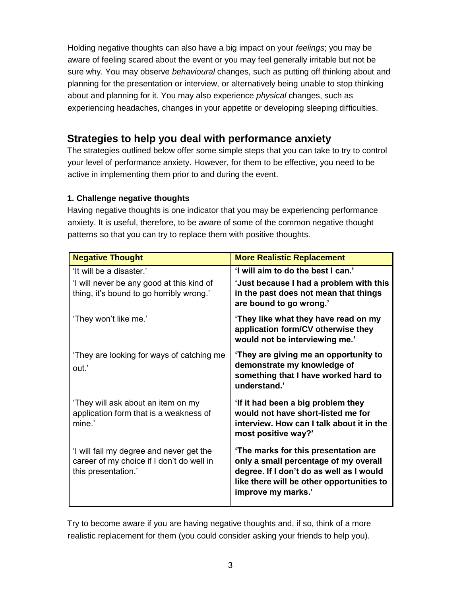Holding negative thoughts can also have a big impact on your *feelings*; you may be aware of feeling scared about the event or you may feel generally irritable but not be sure why. You may observe *behavioural* changes, such as putting off thinking about and planning for the presentation or interview, or alternatively being unable to stop thinking about and planning for it. You may also experience *physical* changes, such as experiencing headaches, changes in your appetite or developing sleeping difficulties.

## **Strategies to help you deal with performance anxiety**

The strategies outlined below offer some simple steps that you can take to try to control your level of performance anxiety. However, for them to be effective, you need to be active in implementing them prior to and during the event.

#### **1. Challenge negative thoughts**

Having negative thoughts is one indicator that you may be experiencing performance anxiety. It is useful, therefore, to be aware of some of the common negative thought patterns so that you can try to replace them with positive thoughts.

| <b>Negative Thought</b>                                                                                           | <b>More Realistic Replacement</b>                                                                                                                                                            |
|-------------------------------------------------------------------------------------------------------------------|----------------------------------------------------------------------------------------------------------------------------------------------------------------------------------------------|
| 'It will be a disaster.'<br>'I will never be any good at this kind of<br>thing, it's bound to go horribly wrong.' | 'I will aim to do the best I can.'<br>'Just because I had a problem with this<br>in the past does not mean that things<br>are bound to go wrong.'                                            |
| 'They won't like me.'                                                                                             | 'They like what they have read on my<br>application form/CV otherwise they<br>would not be interviewing me.'                                                                                 |
| 'They are looking for ways of catching me<br>out.'                                                                | 'They are giving me an opportunity to<br>demonstrate my knowledge of<br>something that I have worked hard to<br>understand.'                                                                 |
| 'They will ask about an item on my<br>application form that is a weakness of<br>mine.'                            | 'If it had been a big problem they<br>would not have short-listed me for<br>interview. How can I talk about it in the<br>most positive way?'                                                 |
| 'I will fail my degree and never get the<br>career of my choice if I don't do well in<br>this presentation.'      | 'The marks for this presentation are<br>only a small percentage of my overall<br>degree. If I don't do as well as I would<br>like there will be other opportunities to<br>improve my marks.' |

Try to become aware if you are having negative thoughts and, if so, think of a more realistic replacement for them (you could consider asking your friends to help you).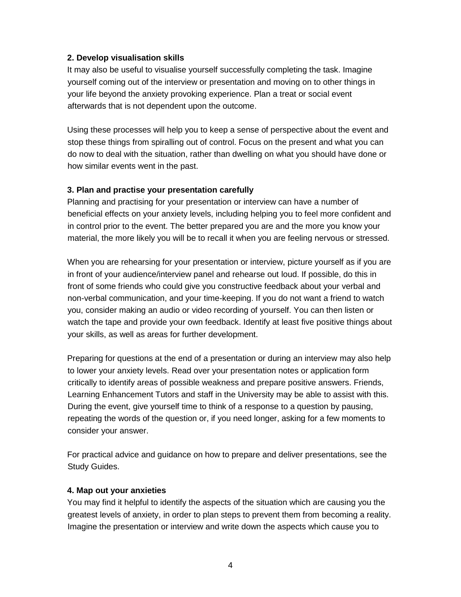#### **2. Develop visualisation skills**

It may also be useful to visualise yourself successfully completing the task. Imagine yourself coming out of the interview or presentation and moving on to other things in your life beyond the anxiety provoking experience. Plan a treat or social event afterwards that is not dependent upon the outcome.

Using these processes will help you to keep a sense of perspective about the event and stop these things from spiralling out of control. Focus on the present and what you can do now to deal with the situation, rather than dwelling on what you should have done or how similar events went in the past.

#### **3. Plan and practise your presentation carefully**

Planning and practising for your presentation or interview can have a number of beneficial effects on your anxiety levels, including helping you to feel more confident and in control prior to the event. The better prepared you are and the more you know your material, the more likely you will be to recall it when you are feeling nervous or stressed.

When you are rehearsing for your presentation or interview, picture yourself as if you are in front of your audience/interview panel and rehearse out loud. If possible, do this in front of some friends who could give you constructive feedback about your verbal and non-verbal communication, and your time-keeping. If you do not want a friend to watch you, consider making an audio or video recording of yourself. You can then listen or watch the tape and provide your own feedback. Identify at least five positive things about your skills, as well as areas for further development.

Preparing for questions at the end of a presentation or during an interview may also help to lower your anxiety levels. Read over your presentation notes or application form critically to identify areas of possible weakness and prepare positive answers. Friends, Learning Enhancement Tutors and staff in the University may be able to assist with this. During the event, give yourself time to think of a response to a question by pausing, repeating the words of the question or, if you need longer, asking for a few moments to consider your answer.

For practical advice and guidance on how to prepare and deliver presentations, see the Study Guides.

#### **4. Map out your anxieties**

You may find it helpful to identify the aspects of the situation which are causing you the greatest levels of anxiety, in order to plan steps to prevent them from becoming a reality. Imagine the presentation or interview and write down the aspects which cause you to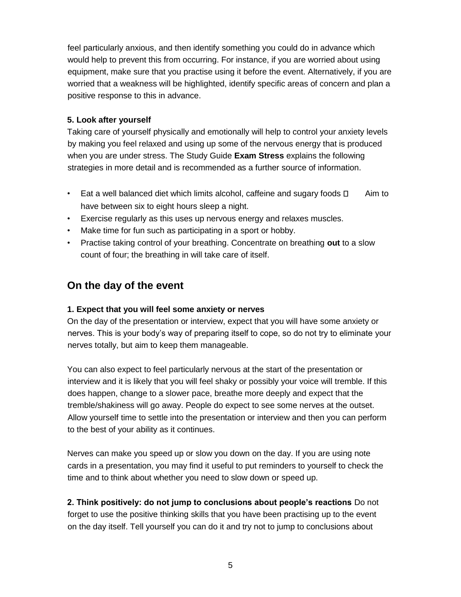feel particularly anxious, and then identify something you could do in advance which would help to prevent this from occurring. For instance, if you are worried about using equipment, make sure that you practise using it before the event. Alternatively, if you are worried that a weakness will be highlighted, identify specific areas of concern and plan a positive response to this in advance.

#### **5. Look after yourself**

Taking care of yourself physically and emotionally will help to control your anxiety levels by making you feel relaxed and using up some of the nervous energy that is produced when you are under stress. The Study Guide **Exam Stress** explains the following strategies in more detail and is recommended as a further source of information.

- Eat a well balanced diet which limits alcohol, caffeine and sugary foods  $\Box$  Aim to have between six to eight hours sleep a night.
- Exercise regularly as this uses up nervous energy and relaxes muscles.
- Make time for fun such as participating in a sport or hobby.
- Practise taking control of your breathing. Concentrate on breathing **out** to a slow count of four; the breathing in will take care of itself.

## **On the day of the event**

#### **1. Expect that you will feel some anxiety or nerves**

On the day of the presentation or interview, expect that you will have some anxiety or nerves. This is your body's way of preparing itself to cope, so do not try to eliminate your nerves totally, but aim to keep them manageable.

You can also expect to feel particularly nervous at the start of the presentation or interview and it is likely that you will feel shaky or possibly your voice will tremble. If this does happen, change to a slower pace, breathe more deeply and expect that the tremble/shakiness will go away. People do expect to see some nerves at the outset. Allow yourself time to settle into the presentation or interview and then you can perform to the best of your ability as it continues.

Nerves can make you speed up or slow you down on the day. If you are using note cards in a presentation, you may find it useful to put reminders to yourself to check the time and to think about whether you need to slow down or speed up.

**2. Think positively: do not jump to conclusions about people's reactions** Do not forget to use the positive thinking skills that you have been practising up to the event on the day itself. Tell yourself you can do it and try not to jump to conclusions about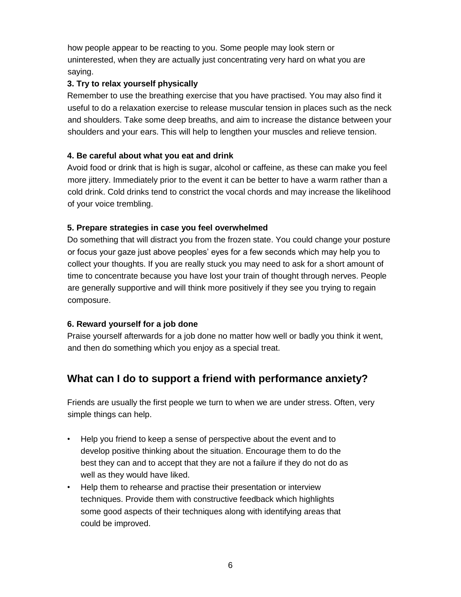how people appear to be reacting to you. Some people may look stern or uninterested, when they are actually just concentrating very hard on what you are saying.

#### **3. Try to relax yourself physically**

Remember to use the breathing exercise that you have practised. You may also find it useful to do a relaxation exercise to release muscular tension in places such as the neck and shoulders. Take some deep breaths, and aim to increase the distance between your shoulders and your ears. This will help to lengthen your muscles and relieve tension.

#### **4. Be careful about what you eat and drink**

Avoid food or drink that is high is sugar, alcohol or caffeine, as these can make you feel more jittery. Immediately prior to the event it can be better to have a warm rather than a cold drink. Cold drinks tend to constrict the vocal chords and may increase the likelihood of your voice trembling.

#### **5. Prepare strategies in case you feel overwhelmed**

Do something that will distract you from the frozen state. You could change your posture or focus your gaze just above peoples' eyes for a few seconds which may help you to collect your thoughts. If you are really stuck you may need to ask for a short amount of time to concentrate because you have lost your train of thought through nerves. People are generally supportive and will think more positively if they see you trying to regain composure.

#### **6. Reward yourself for a job done**

Praise yourself afterwards for a job done no matter how well or badly you think it went, and then do something which you enjoy as a special treat.

## **What can I do to support a friend with performance anxiety?**

Friends are usually the first people we turn to when we are under stress. Often, very simple things can help.

- Help you friend to keep a sense of perspective about the event and to develop positive thinking about the situation. Encourage them to do the best they can and to accept that they are not a failure if they do not do as well as they would have liked.
- Help them to rehearse and practise their presentation or interview techniques. Provide them with constructive feedback which highlights some good aspects of their techniques along with identifying areas that could be improved.